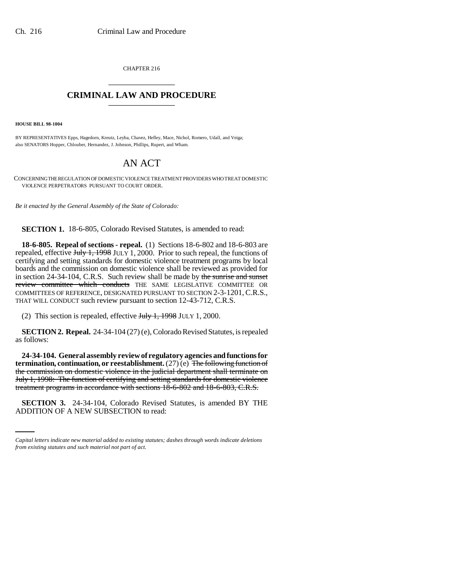CHAPTER 216 \_\_\_\_\_\_\_\_\_\_\_\_\_\_\_

## **CRIMINAL LAW AND PROCEDURE** \_\_\_\_\_\_\_\_\_\_\_\_\_\_\_

**HOUSE BILL 98-1004**

BY REPRESENTATIVES Epps, Hagedorn, Kreutz, Leyba, Chavez, Hefley, Mace, Nichol, Romero, Udall, and Veiga; also SENATORS Hopper, Chlouber, Hernandez, J. Johnson, Phillips, Rupert, and Wham.

## AN ACT

CONCERNING THE REGULATION OF DOMESTIC VIOLENCE TREATMENT PROVIDERS WHO TREAT DOMESTIC VIOLENCE PERPETRATORS PURSUANT TO COURT ORDER.

*Be it enacted by the General Assembly of the State of Colorado:*

**SECTION 1.** 18-6-805, Colorado Revised Statutes, is amended to read:

**18-6-805. Repeal of sections - repeal.** (1) Sections 18-6-802 and 18-6-803 are repealed, effective  $J_{\text{t}}$   $J_{\text{t}}$   $\rightarrow$  1, 1, 2000. Prior to such repeal, the functions of certifying and setting standards for domestic violence treatment programs by local boards and the commission on domestic violence shall be reviewed as provided for in section 24-34-104, C.R.S. Such review shall be made by the sunrise and sunset review committee which conducts THE SAME LEGISLATIVE COMMITTEE OR COMMITTEES OF REFERENCE, DESIGNATED PURSUANT TO SECTION 2-3-1201, C.R.S., THAT WILL CONDUCT such review pursuant to section 12-43-712, C.R.S.

(2) This section is repealed, effective July 1, 1998 JULY 1, 2000.

**SECTION 2. Repeal.** 24-34-104 (27) (e), Colorado Revised Statutes, is repealed as follows:

treatment programs in accordance with sections 18-6-802 and 18-6-803, C.R.S. **24-34-104. General assembly review of regulatory agencies and functions for termination, continuation, or reestablishment.** (27) (e) The following function of the commission on domestic violence in the judicial department shall terminate on July 1, 1998: The function of certifying and setting standards for domestic violence

**SECTION 3.** 24-34-104, Colorado Revised Statutes, is amended BY THE ADDITION OF A NEW SUBSECTION to read:

*Capital letters indicate new material added to existing statutes; dashes through words indicate deletions from existing statutes and such material not part of act.*